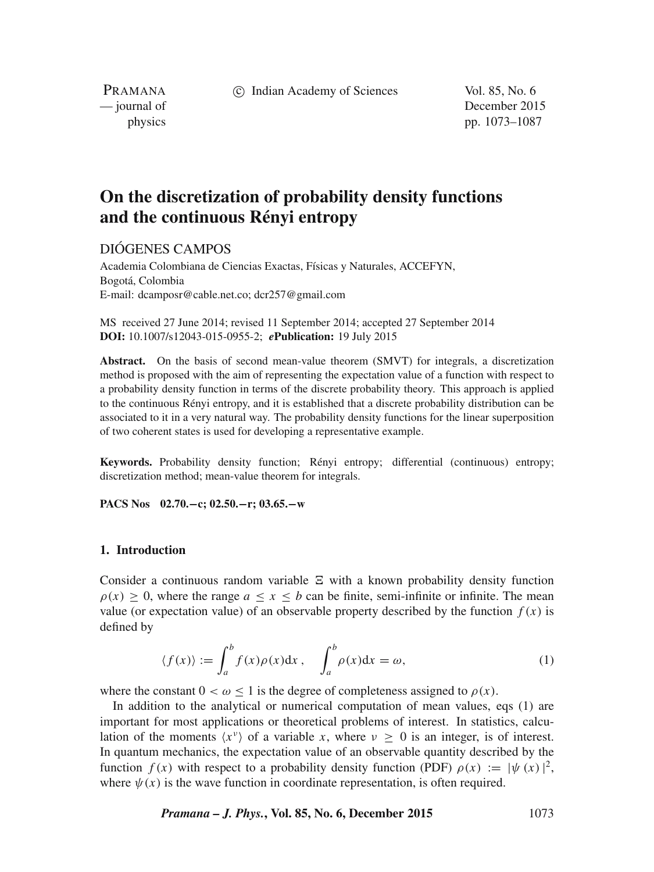c Indian Academy of Sciences Vol. 85, No. 6

PRAMANA<br>
— journal of

December 2015 physics pp. 1073–1087

# **On the discretization of probability density functions and the continuous Rényi entropy**

## DIÓGENES CAMPOS

Academia Colombiana de Ciencias Exactas, Físicas y Naturales, ACCEFYN, Bogotá, Colombia E-mail: dcamposr@cable.net.co; dcr257@gmail.com

MS received 27 June 2014; revised 11 September 2014; accepted 27 September 2014 **DOI:** 10.1007/s12043-015-0955-2; *e***Publication:** 19 July 2015

**Abstract.** On the basis of second mean-value theorem (SMVT) for integrals, a discretization method is proposed with the aim of representing the expectation value of a function with respect to a probability density function in terms of the discrete probability theory. This approach is applied to the continuous Rényi entropy, and it is established that a discrete probability distribution can be associated to it in a very natural way. The probability density functions for the linear superposition of two coherent states is used for developing a representative example.

**Keywords.** Probability density function; Rényi entropy; differential (continuous) entropy; discretization method; mean-value theorem for integrals.

**PACS Nos 02.70.−c; 02.50.−r; 03.65.−w**

## **1. Introduction**

Consider a continuous random variable  $\Xi$  with a known probability density function  $\rho(x) > 0$  where the range  $a \le x \le b$  can be finite semi-infinite or infinite. The mean  $\rho(x) > 0$ , where the range  $a \le x \le b$  can be finite, semi-infinite or infinite. The mean value (or expectation value) of an observable property described by the function  $f(x)$  is defined by

$$
\langle f(x) \rangle := \int_{a}^{b} f(x) \rho(x) dx, \quad \int_{a}^{b} \rho(x) dx = \omega,
$$
 (1)

where the constant  $0 < \omega \le 1$  is the degree of completeness assigned to  $\rho(x)$ .

In addition to the analytical or numerical computation of mean values, eqs (1) are important for most applications or theoretical problems of interest. In statistics, calculation of the moments  $\langle x^{\nu} \rangle$  of a variable x, where  $\nu \geq 0$  is an integer, is of interest. In quantum mechanics, the expectation value of an observable quantity described by the function  $f(x)$  with respect to a probability density function (PDF)  $\rho(x) := |\psi(x)|^2$ , where  $\psi(x)$  is the wave function in coordinate representation, is often required.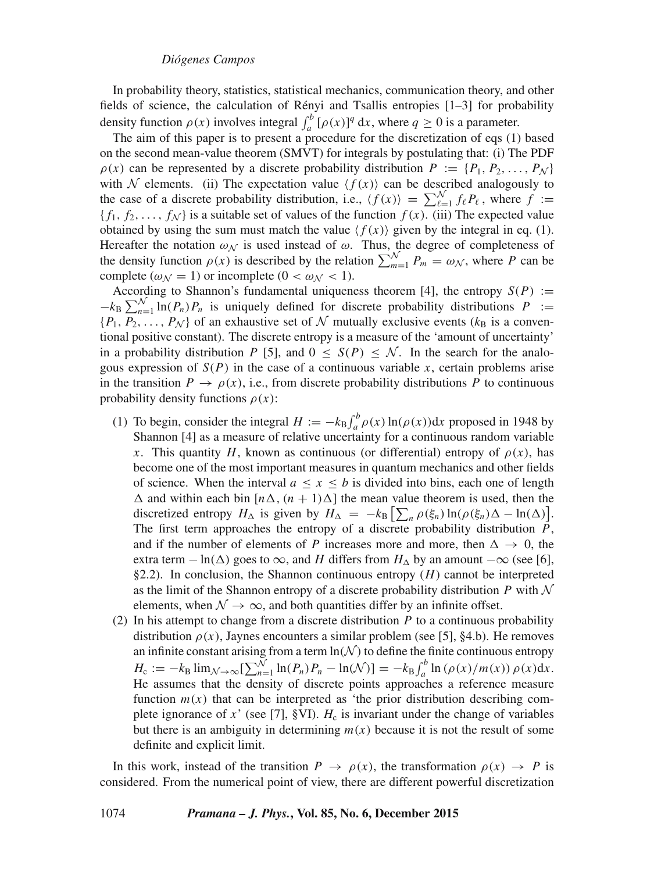In probability theory, statistics, statistical mechanics, communication theory, and other fields of science, the calculation of Rényi and Tsallis entropies [1–3] for probability density function  $\rho(x)$  involves integral  $\int_a^b [\rho(x)]^q dx$ , where  $q \ge 0$  is a parameter.<br>The aim of this paper is to present a procedure for the discretization of eqs. (1)

The aim of this paper is to present a procedure for the discretization of eqs (1) based on the second mean-value theorem (SMVT) for integrals by postulating that: (i) The PDF  $\rho(x)$  can be represented by a discrete probability distribution  $P := \{P_1, P_2, \ldots, P_N\}$ with N elements. (ii) The expectation value  $\langle f(x) \rangle$  can be described analogously to the case of a discrete probability distribution, i.e.,  $\langle f(x) \rangle = \sum_{\ell=1}^{N} f_{\ell} P_{\ell}$ , where  $f := \{f_1, f_2, \ldots, f_N\}$  is a suitable set of values of the function  $f(x)$  (iii) The expected value  ${f_1, f_2, \ldots, f_N}$  is a suitable set of values of the function  $f(x)$ . (iii) The expected value obtained by using the sum must match the value  $\langle f(x) \rangle$  given by the integral in eq. (1). Hereafter the notation  $\omega_N$  is used instead of  $\omega$ . Thus, the degree of completeness of the density function  $\rho(x)$  is described by the relation  $\sum_{m=1}^{N} P_m = \omega_N$ , where P can be complete  $(\omega \leq -1)$  or incomplete  $(0 \leq \omega_N \leq 1)$ complete ( $\omega_N = 1$ ) or incomplete ( $0 < \omega_N < 1$ ).<br>According to Shannon's fundamental uniqueness theorem [4], the entropy  $S(P) :=$ 

According to Shannon's fundamental uniqueness theorem [4], the entropy  $S(P) := \frac{1}{k_B} \sum_{n=1}^{N} \ln(P_n) P_n$  is uniquely defined for discrete probability distributions  $P := \frac{1}{k_B} \sum_{n=1}^{N} \ln(P_n) P_n$  is a convenient of  $N$  mutual  $-\kappa_B$ <br>[ $P_1$  $\{P_1, P_2, \ldots, P_N\}$  of an exhaustive set of N mutually exclusive events  $(k_B$  is a conventional positive constant). The discrete entropy is a measure of the 'amount of uncertainty' tional positive constant). The discrete entropy is a measure of the 'amount of uncertainty' in a probability distribution P [5], and  $0 \le S(P) \le \mathcal{N}$ . In the search for the analogous expression of  $S(P)$  in the case of a continuous variable x, certain problems arise in the transition  $P \to \rho(x)$ , i.e., from discrete probability distributions P to continuous probability density functions  $\rho(x)$ :

- (1) To begin, consider the integral  $H := -k_B \int_a^b \rho(x) \ln(\rho(x)) dx$  proposed in 1948 by<br>Shannon [4] as a measure of relative uncertainty for a continuous random variable Shannon [4] as a measure of relative uncertainty for a continuous random variable x. This quantity H, known as continuous (or differential) entropy of  $\rho(x)$ , has become one of the most important measures in quantum mechanics and other fields of science. When the interval  $a \le x \le b$  is divided into bins, each one of length  $\Delta$  and within each bin  $[n\Delta, (n + 1)\Delta]$  the mean value theorem is used, then the discretized entropy  $H_{\Delta}$  is given by  $H_{\Delta} = -k_B \left[ \sum_n \rho(\xi_n) \ln(\rho(\xi_n) \Delta - \ln(\Delta)) \right]$ .<br>The first term approaches the entropy of a discrete probability distribution *P* The first term approaches the entropy of a discrete probability distribution  $P$ , and if the number of elements of P increases more and more, then  $\Delta \rightarrow 0$ , the extra term  $-\ln(\Delta)$  goes to  $\infty$ , and H differs from  $H_{\Delta}$  by an amount  $-\infty$  (see [6], §2.2). In conclusion, the Shannon continuous entropy  $(H)$  cannot be interpreted as the limit of the Shannon entropy of a discrete probability distribution  $P$  with  $\mathcal N$ elements, when  $\mathcal{N} \rightarrow \infty$ , and both quantities differ by an infinite offset.
- (2) In his attempt to change from a discrete distribution  $P$  to a continuous probability distribution  $\rho(x)$ , Jaynes encounters a similar problem (see [5], §4.b). He removes an infinite constant arising from a term  $\ln(\mathcal{N})$  to define the finite continuous entropy  $H_c := -k_B \lim_{N \to \infty} \left[ \sum_{n=1}^{N} \ln(P_n) P_n - \ln(N) \right] = -k_B \int_a^b \ln(\rho(x)/m(x)) \rho(x) dx$ .<br>He assumes that the density of discrete points approaches a reference measure He assumes that the density of discrete points approaches a reference measure function  $m(x)$  that can be interpreted as 'the prior distribution describing complete ignorance of x' (see [7], §VI).  $H_c$  is invariant under the change of variables but there is an ambiguity in determining  $m(x)$  because it is not the result of some definite and explicit limit.

In this work, instead of the transition  $P \to \rho(x)$ , the transformation  $\rho(x) \to P$  is considered. From the numerical point of view, there are different powerful discretization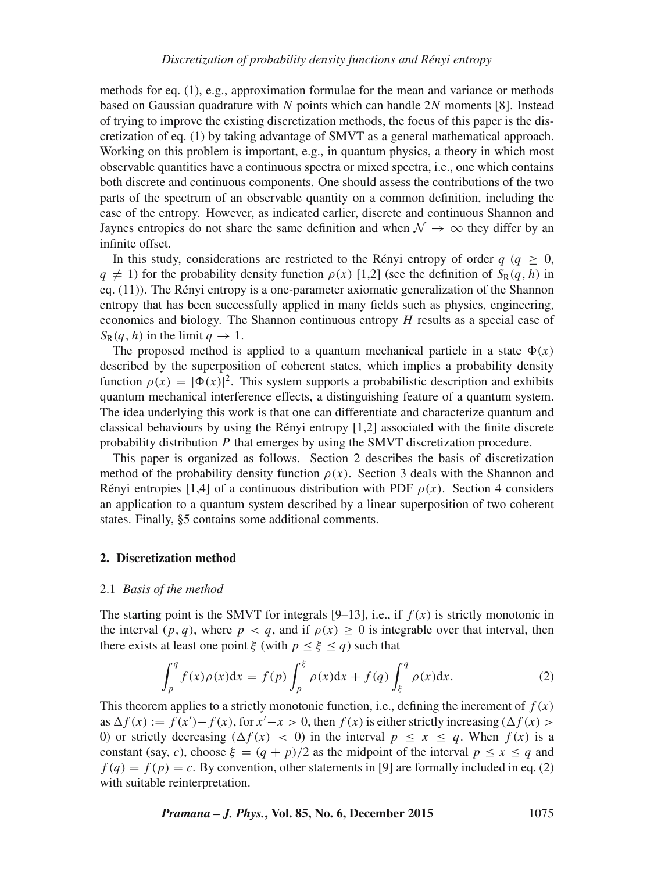methods for eq. (1), e.g., approximation formulae for the mean and variance or methods based on Gaussian quadrature with N points which can handle 2N moments [8]. Instead of trying to improve the existing discretization methods, the focus of this paper is the discretization of eq. (1) by taking advantage of SMVT as a general mathematical approach. Working on this problem is important, e.g., in quantum physics, a theory in which most observable quantities have a continuous spectra or mixed spectra, i.e., one which contains both discrete and continuous components. One should assess the contributions of the two parts of the spectrum of an observable quantity on a common definition, including the case of the entropy. However, as indicated earlier, discrete and continuous Shannon and Jaynes entropies do not share the same definition and when  $\mathcal{N} \rightarrow \infty$  they differ by an infinite offset.

In this study, considerations are restricted to the Rényi entropy of order  $q$  ( $q \ge 0$ ,  $q \neq 1$ ) for the probability density function  $\rho(x)$  [1,2] (see the definition of  $S_R(q, h)$  in eq. (11)). The Rényi entropy is a one-parameter axiomatic generalization of the Shannon entropy that has been successfully applied in many fields such as physics, engineering, economics and biology. The Shannon continuous entropy H results as a special case of  $S_R(q, h)$  in the limit  $q \to 1$ .

The proposed method is applied to a quantum mechanical particle in a state  $\Phi(x)$ described by the superposition of coherent states, which implies a probability density function  $\rho(x) = |\Phi(x)|^2$ . This system supports a probabilistic description and exhibits quantum mechanical interference effects a distinguishing feature of a quantum system function  $\rho(x) = |\Phi(x)|^2$ . This system supports a probabilistic description and exhibits quantum mechanical interference effects, a distinguishing feature of a quantum system. The idea underlying this work is that one can differentiate and characterize quantum and classical behaviours by using the Rényi entropy [1,2] associated with the finite discrete probability distribution P that emerges by using the SMVT discretization procedure.

This paper is organized as follows. Section 2 describes the basis of discretization method of the probability density function  $\rho(x)$ . Section 3 deals with the Shannon and Rényi entropies [1,4] of a continuous distribution with PDF  $\rho(x)$ . Section 4 considers an application to a quantum system described by a linear superposition of two coherent states. Finally, §5 contains some additional comments.

## **2. Discretization method**

#### 2.1 *Basis of the method*

The starting point is the SMVT for integrals [9–13], i.e., if  $f(x)$  is strictly monotonic in the interval  $(p, q)$ , where  $p < q$ , and if  $\rho(x) \ge 0$  is integrable over that interval, then there exists at least one point ξ (with  $p < \xi < q$ ) such that

$$
\int_{p}^{q} f(x)\rho(x)dx = f(p)\int_{p}^{\xi} \rho(x)dx + f(q)\int_{\xi}^{q} \rho(x)dx.
$$
 (2)

This theorem applies to a strictly monotonic function, i.e., defining the increment of  $f(x)$ as  $\Delta f(x) := f(x') - f(x)$ , for  $x' - x > 0$ , then  $f(x)$  is either strictly increasing  $(\Delta f(x) > 0)$  or strictly decreasing  $(\Delta f(x) < 0)$  in the interval  $n \le x \le a$ . When  $f(x)$  is a 0) or strictly decreasing  $(\Delta f(x) < 0)$  in the interval  $p \le x \le q$ . When  $f(x)$  is a constant (say, c), choose  $\xi = (q + p)/2$  as the midpoint of the interval  $p \le x \le q$  and  $f(q) = f(p) = c$ . By convention, other statements in [9] are formally included in eq. (2) with suitable reinterpretation.

*Pramana – J. Phys.***, Vol. 85, No. 6, December 2015** 1075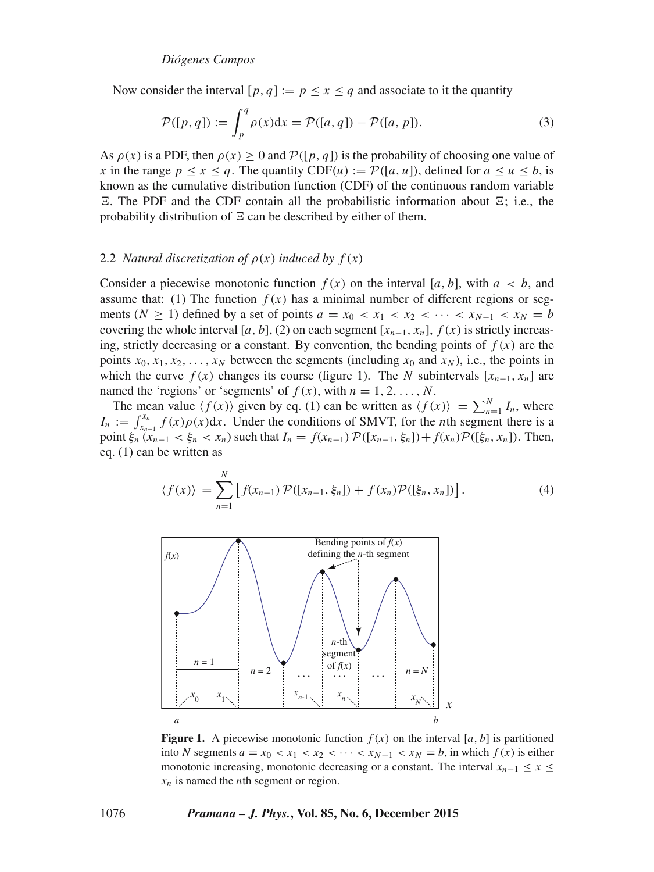Now consider the interval  $[p, q] := p \le x \le q$  and associate to it the quantity

$$
\mathcal{P}([p,q]) := \int_{p}^{q} \rho(x)dx = \mathcal{P}([a,q]) - \mathcal{P}([a,p]).
$$
\n(3)

As  $\rho(x)$  is a PDF, then  $\rho(x) > 0$  and  $P([p, q])$  is the probability of choosing one value of x in the range  $p \le x \le q$ . The quantity CDF(u) :=  $\mathcal{P}([a, u])$ , defined for  $a \le u \le b$ , is known as the cumulative distribution function (CDF) of the continuous random variable probability distribution of  $\Xi$  can be described by either of them. . The PDF and the CDF contain all the probabilistic information about  $\Xi$ ; i.e., the cohability distribution of  $\Xi$  can be described by either of them

## 2.2 *Natural discretization of*  $\rho(x)$  *induced by*  $f(x)$

Consider a piecewise monotonic function  $f(x)$  on the interval [a, b], with  $a < b$ , and assume that: (1) The function  $f(x)$  has a minimal number of different regions or segments ( $N \ge 1$ ) defined by a set of points  $a = x_0 < x_1 < x_2 < \cdots < x_{N-1} < x_N = b$ covering the whole interval [a, b], (2) on each segment  $[x_{n-1}, x_n]$ ,  $f(x)$  is strictly increasing, strictly decreasing or a constant. By convention, the bending points of  $f(x)$  are the points  $x_0, x_1, x_2, \ldots, x_N$  between the segments (including  $x_0$  and  $x_N$ ), i.e., the points in which the curve  $f(x)$  changes its course (figure 1). The N subintervals  $[x_{n-1}, x_n]$  are named the 'regions' or 'segments' of  $f(x)$ , with  $n = 1, 2, ..., N$ . named the 'regions' or 'segments' of  $f(x)$ , with  $n = 1, 2, ..., N$ .<br>The mean value  $\langle f(x) \rangle$  given by eq. (1) can be written as  $\langle f(x) \rangle$ 

The mean value  $\langle f(x) \rangle$  given by eq. (1) can be written as  $\langle f(x) \rangle = \sum_{n=1}^{N} I_n$ , where  $\cdot$   $\cdot$   $f(x) \circ (x) dx$ . Under the conditions of SMVT for the *n*th segment there is a  $I_n := \int_{x_{n-1}}^{x_n} f(x) \rho(x) dx$ . Under the conditions of SMVT, for the *n*th segment there is a point  $\xi$ ,  $(x_{n-1} \le \xi \le x)$  such that  $I_n = f(x_{n-1}) \mathcal{D}(\{x_{n-1} \le x_n\}) + f(x) \mathcal{D}(\{\xi \le x_n\})$ . Then point  $\xi_n(x_{n-1} < \xi_n < x_n)$  such that  $I_n = f(x_{n-1}) \mathcal{P}([x_{n-1}, \xi_n]) + f(x_n) \mathcal{P}([\xi_n, x_n])$ . Then, eq. (1) can be written as

$$
\langle f(x) \rangle = \sum_{n=1}^{N} \left[ f(x_{n-1}) \mathcal{P}([x_{n-1}, \xi_n]) + f(x_n) \mathcal{P}([\xi_n, x_n]) \right]. \tag{4}
$$



**Figure 1.** A piecewise monotonic function  $f(x)$  on the interval [a, b] is partitioned into N segments  $a = x_0 < x_1 < x_2 < \cdots < x_{N-1} < x_N = b$ , in which  $f(x)$  is either monotonic increasing, monotonic decreasing or a constant. The interval  $x_{n-1} \le x \le$  $x_n$  is named the *n*th segment or region.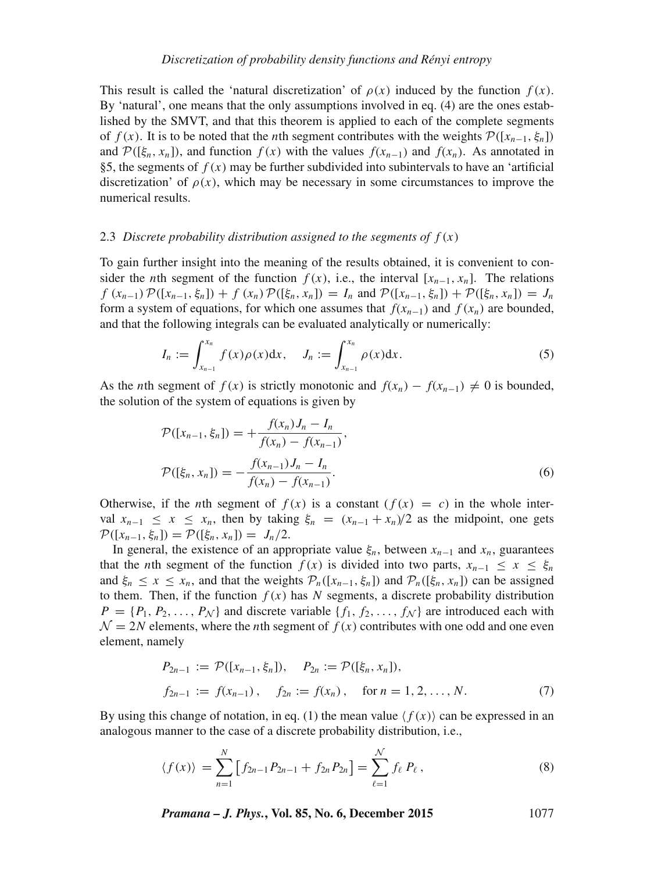This result is called the 'natural discretization' of  $\rho(x)$  induced by the function  $f(x)$ . By 'natural', one means that the only assumptions involved in eq. (4) are the ones established by the SMVT, and that this theorem is applied to each of the complete segments of  $f(x)$ . It is to be noted that the *n*th segment contributes with the weights  $\mathcal{P}([x_{n-1}, \xi_n])$ and  $\mathcal{P}([\xi_n, x_n])$ , and function  $f(x)$  with the values  $f(x_{n-1})$  and  $f(x_n)$ . As annotated in §5, the segments of  $f(x)$  may be further subdivided into subintervals to have an 'artificial discretization' of  $\rho(x)$ , which may be necessary in some circumstances to improve the numerical results.

#### 2.3 *Discrete probability distribution assigned to the segments of*  $f(x)$

To gain further insight into the meaning of the results obtained, it is convenient to consider the *n*th segment of the function  $f(x)$ , i.e., the interval [ $x_{n-1}$ ,  $x_n$ ]. The relations  $f(x_{n-1})\mathcal{P}([x_{n-1}, \xi_n]) + f(x_n)\mathcal{P}([\xi_n, x_n]) = I_n$  and  $\mathcal{P}([x_{n-1}, \xi_n]) + \mathcal{P}([\xi_n, x_n]) = J_n$ form a system of equations, for which one assumes that  $f(x_{n-1})$  and  $f(x_n)$  are bounded, and that the following integrals can be evaluated analytically or numerically:

$$
I_n := \int_{x_{n-1}}^{x_n} f(x)\rho(x)dx, \quad J_n := \int_{x_{n-1}}^{x_n} \rho(x)dx.
$$
 (5)

As the *n*th segment of  $f(x)$  is strictly monotonic and  $f(x_n) - f(x_{n-1}) \neq 0$  is bounded, the solution of the system of equations is given by

$$
\mathcal{P}([x_{n-1}, \xi_n]) = +\frac{f(x_n)J_n - I_n}{f(x_n) - f(x_{n-1})},
$$
  

$$
\mathcal{P}([\xi_n, x_n]) = -\frac{f(x_{n-1})J_n - I_n}{f(x_n) - f(x_{n-1})}.
$$
 (6)

Otherwise, if the *n*th segment of  $f(x)$  is a constant  $(f(x) = c)$  in the whole interval  $x_{n-1} \le x \le x_n$ , then by taking  $\xi_n = (x_{n-1} + x_n)/2$  as the midpoint, one gets  $\mathcal{P}([x_{n-1}, \xi_n]) = \mathcal{P}([\xi_n, x_n]) = J_n/2.$ 

In general, the existence of an appropriate value  $\xi_n$ , between  $x_{n-1}$  and  $x_n$ , guarantees that the *n*th segment of the function  $f(x)$  is divided into two parts,  $x_{n-1} \le x \le \xi_n$ and  $\xi_n \le x \le x_n$ , and that the weights  $\mathcal{P}_n([x_{n-1}, \xi_n])$  and  $\mathcal{P}_n([\xi_n, x_n])$  can be assigned to them. Then, if the function  $f(x)$  has N segments, a discrete probability distribution  $P = \{P_1, P_2, \ldots, P_N\}$  and discrete variable  $\{f_1, f_2, \ldots, f_N\}$  are introduced each with  $\mathcal{N} = 2N$  elements, where the *n*th segment of  $f(x)$  contributes with one odd and one even element, namely

$$
P_{2n-1} := \mathcal{P}([x_{n-1}, \xi_n]), \quad P_{2n} := \mathcal{P}([\xi_n, x_n]),
$$
  
\n
$$
f_{2n-1} := f(x_{n-1}), \quad f_{2n} := f(x_n), \quad \text{for } n = 1, 2, ..., N. \tag{7}
$$

By using this change of notation, in eq. (1) the mean value  $\langle f(x) \rangle$  can be expressed in an analogous manner to the case of a discrete probability distribution, i.e.,

$$
\langle f(x) \rangle = \sum_{n=1}^{N} \left[ f_{2n-1} P_{2n-1} + f_{2n} P_{2n} \right] = \sum_{\ell=1}^{N} f_{\ell} P_{\ell}, \tag{8}
$$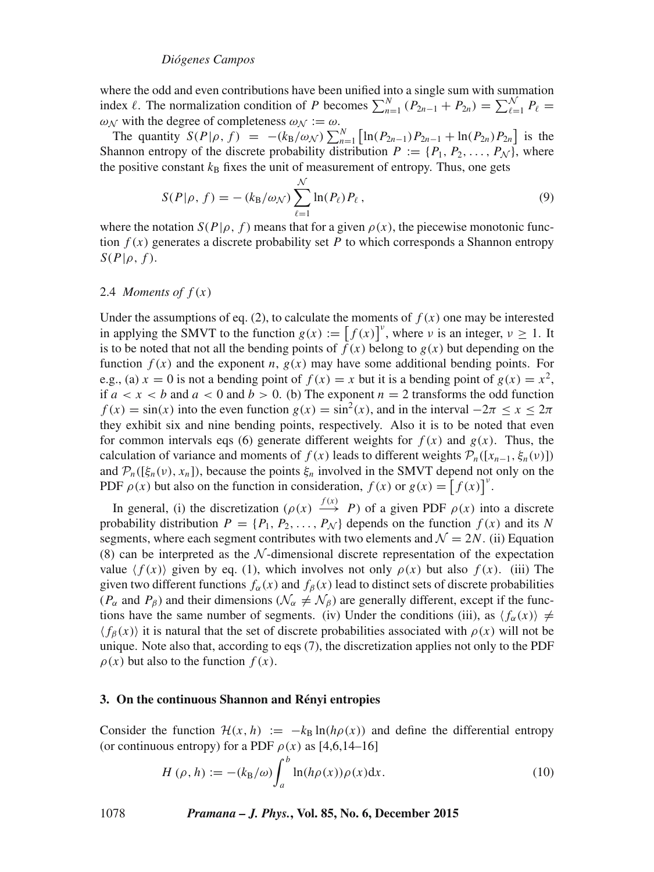## *Diógenes Campos*

where the odd and even contributions have been unified into a single sum with summation index  $\ell$ . The normalization condition of P becomes  $\sum_{n=1}^{N} (P_{2n-1} + P_{2n}) = \sum_{\ell=1}^{N} P_{\ell} =$  $\omega_N$  with the degree of completeness  $\omega_N := \omega$ .<br>The quantity  $S(P|\rho, f) = -(k_D/\omega_N) \sum_{n=1}^\infty$ 

The quantity  $S(P|\rho, f) = -(k_B/\omega_N) \sum_{n=1}^{N} \left[ \ln(P_{2n-1}) P_{2n-1} + \ln(P_{2n}) P_{2n} \right]$  is the annon entrony of the discrete probability distribution  $P := \{P_1, P_2, \ldots, P_{N}\}$  where Shannon entropy of the discrete probability distribution  $P := \{P_1, P_2, \ldots, P_N\}$ , where<br>the positive constant  $k_p$  fixes the unit of measurement of entropy. Thus, one gets the positive constant  $k_B$  fixes the unit of measurement of entropy. Thus, one gets

$$
S(P|\rho, f) = -(k_B/\omega_N) \sum_{\ell=1}^N \ln(P_\ell) P_\ell,
$$
\n
$$
S(P|\rho, f) \text{ means that for } \rho \text{ given } \rho(\omega) \text{ the increasing wave function.}
$$
\n(9)

where the notation  $S(P|\rho, f)$  means that for a given  $\rho(x)$ , the piecewise monotonic func-<br>tion  $f(x)$  generates a discrete probability set P to which corresponds a Shannon entropy tion  $f(x)$  generates a discrete probability set P to which corresponds a Shannon entropy  $S(P|\rho, f)$ .

## 2.4 *Moments of*  $f(x)$

Under the assumptions of eq. (2), to calculate the moments of  $f(x)$  one may be interested in applying the SMVT to the function  $g(x) := [f(x)]^{\nu}$ , where  $\nu$  is an integer,  $\nu \ge 1$ . It is to be noted that not all the bending points of  $\hat{f}(x)$  belong to  $g(x)$  but depending on the function  $f(x)$  and the exponent n,  $g(x)$  may have some additional bending points. For e.g., (a)  $x = 0$  is not a bending point of  $f(x) = x$  but it is a bending point of  $g(x) = x^2$ , if  $a < x < b$  and  $a < 0$  and  $b > 0$ . (b) The exponent  $n = 2$  transforms the odd function  $f(x) = \sin(x)$  into the even function  $g(x) = \sin^2(x)$ , and in the interval  $-2\pi \le x \le 2\pi$ <br>they exhibit six and nine bending points respectively. Also it is to be noted that even they exhibit six and nine bending points, respectively. Also it is to be noted that even for common intervals eqs (6) generate different weights for  $f(x)$  and  $g(x)$ . Thus, the calculation of variance and moments of  $f(x)$  leads to different weights  $\mathcal{P}_n([x_{n-1}, \xi_n(v)])$ and  $\mathcal{P}_n([\xi_n(\nu), x_n])$ , because the points  $\xi_n$  involved in the SMVT depend not only on the PDF  $\rho(x)$  but also on the function in consideration,  $f(x)$  or  $g(x) = [f(x)]^v$ .

In general, (i) the discretization  $(\rho(x) \xrightarrow{f(x)} P)$  of a given PDF  $\rho(x)$  into a discrete<br>obability distribution  $P = \{P_1, P_2, \ldots, P_k\}$  depends on the function  $f(x)$  and its N probability distribution  $P = \{P_1, P_2, \ldots, P_N\}$  depends on the function  $f(x)$  and its N<br>segments, where each segment contributes with two elements and  $N - 2N$  (ii) Equation segments, where each segment contributes with two elements and  $\mathcal{N} = 2N$ . (ii) Equation (8) can be interpreted as the  $\mathcal N$ -dimensional discrete representation of the expectation value  $\langle f(x) \rangle$  given by eq. (1), which involves not only  $\rho(x)$  but also  $f(x)$ . (iii) The given two different functions  $f_\alpha(x)$  and  $f_\beta(x)$  lead to distinct sets of discrete probabilities ( $P_\alpha$  and  $P_\beta$ ) and their dimensions ( $\mathcal{N}_\alpha \neq \mathcal{N}_\beta$ ) are generally different, except if the functions have the same number of segments. (iv) Under the conditions (iii), as  $\langle f_\alpha(x) \rangle \neq$  $\langle f_\beta(x) \rangle$  it is natural that the set of discrete probabilities associated with  $\rho(x)$  will not be unique. Note also that, according to eqs (7), the discretization applies not only to the PDF  $\rho(x)$  but also to the function  $f(x)$ .

#### **3. On the continuous Shannon and Rényi entropies**

Consider the function  $\mathcal{H}(x, h) := -k_B \ln(h\rho(x))$  and define the differential entropy (or continuous entropy) for a PDF  $\rho(x)$  as [4,6,14–16]

$$
H(\rho, h) := -(k_{\text{B}}/\omega) \int_{a}^{b} \ln(h\rho(x)) \rho(x) \mathrm{d}x. \tag{10}
$$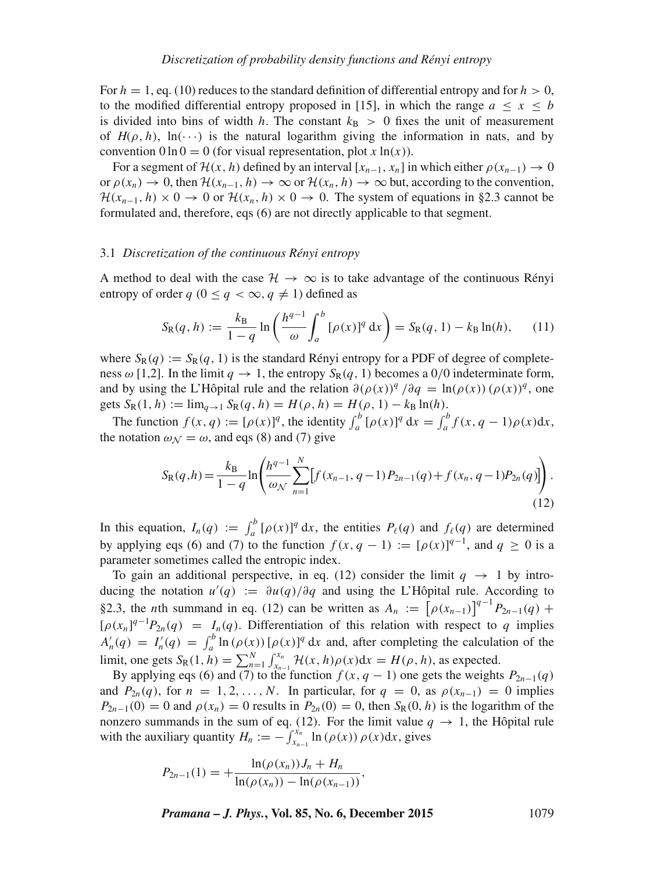For  $h = 1$ , eq. (10) reduces to the standard definition of differential entropy and for  $h > 0$ , to the modified differential entropy proposed in [15], in which the range  $a \leq x \leq b$ is divided into bins of width h. The constant  $k_{\rm B} > 0$  fixes the unit of measurement of  $H(\rho, h)$ , ln( $\cdots$ ) is the natural logarithm giving the information in nats, and by convention  $0 \ln 0 = 0$  (for visual representation, plot x  $\ln(x)$ ).

For a segment of  $\mathcal{H}(x, h)$  defined by an interval  $[x_{n-1}, x_n]$  in which either  $\rho(x_{n-1}) \to 0$ or  $\rho(x_n) \to 0$ , then  $\mathcal{H}(x_{n-1}, h) \to \infty$  or  $\mathcal{H}(x_n, h) \to \infty$  but, according to the convention,  $\mathcal{H}(x_{n-1}, h) \times 0 \to 0$  or  $\mathcal{H}(x_n, h) \times 0 \to 0$ . The system of equations in §2.3 cannot be formulated and, therefore, eqs (6) are not directly applicable to that segment.

## 3.1 *Discretization of the continuous Rényi entropy*

A method to deal with the case  $\mathcal{H} \to \infty$  is to take advantage of the continuous Rényi entropy of order  $q$   $(0 \leq q < \infty, q \neq 1)$  defined as

$$
S_{R}(q, h) := \frac{k_{B}}{1 - q} \ln \left( \frac{h^{q-1}}{\omega} \int_{a}^{b} [\rho(x)]^{q} dx \right) = S_{R}(q, 1) - k_{B} \ln(h), \quad (11)
$$

where  $S_R(q) := S_R(q, 1)$  is the standard Rényi entropy for a PDF of degree of complete-<br>ness  $\omega$  [1.2]. In the limit  $a \to 1$  the entropy  $S_R(q, 1)$  becomes a 0.0 indeterminate form ness  $\omega$  [1,2]. In the limit  $q \to 1$ , the entropy  $S_R(q, 1)$  becomes a 0/0 indeterminate form, and by using the L'Hôpital rule and the relation  $\frac{\partial (\rho(x))^q}{\partial q} = \ln(\rho(x)) (\rho(x))^q$ , one<br>gets S<sub>p</sub>(1, h) : – lim , S<sub>p</sub>(a, h) – H(o, h) – H(o, 1) – k<sub>p</sub>ln(h) gets  $S_R(1, h) := \lim_{q \to 1} S_R(q, h) = H(\rho, h) = H(\rho, 1) - k_B \ln(h)$ .

The function  $f(x, q) := [\rho(x)]^q$ , the identity  $\int_a^b [\rho(x)]^q dx = \int_a^b f(x, q - 1)\rho(x)dx$ , the notation  $\omega_{N} = \omega$ , and eqs (8) and (7) give

$$
S_{R}(q,h) = \frac{k_{B}}{1-q} \ln \left( \frac{h^{q-1}}{\omega_{\mathcal{N}}} \sum_{n=1}^{N} \left[ f(x_{n-1}, q-1) P_{2n-1}(q) + f(x_{n}, q-1) P_{2n}(q) \right] \right).
$$
\n(12)

In this equation,  $I_n(q) := \int_a^b [\rho(x)]^q dx$ , the entities  $P_\ell(q)$  and  $f_\ell(q)$  are determined<br>by applying eqs. (6) and (7) to the function  $f(x, q-1) := [q(x)]^{q-1}$  and  $q > 0$  is a by applying eqs (6) and (7) to the function  $f(x, q - 1) := [\rho(x)]^{q-1}$ , and  $q \ge 0$  is a parameter sometimes called the entropic index parameter sometimes called the entropic index.

To gain an additional perspective, in eq. (12) consider the limit  $q \rightarrow 1$  by introducing the notation  $u'(q) := \frac{\partial u(q)}{\partial q}$  and using the L'Hôpital rule. According to  $S^2$  the other number of  $(12)$  can be unitted as  $A \rightarrow [g(u)]^{q-1}R$ §2.3, the *n*th summand in eq. (12) can be written as  $A_n := [\rho(x_{n-1})]^{q-1}$  $p(x_{n-1})$   $P_{2n-1}(q)$  +  $[\rho(x_n)^{q-1}P_{2n}(q)] = I_n(q)$ . Differentiation of this relation with respect to q implies  $A'(q) = I'(q) = \int_0^b \ln(\rho(x)) [g(x)]^q dx$  and ofter completing the calculation of the  $A'_n(q) = I'_n(q) = \int_a^b \ln(\rho(x)) [\rho(x)]^q dx$  and, after completing the calculation of the limit, one gets  $S_R(1, h) = \sum_{n=1}^N \int_{x_n}^{x_n} \mathcal{H}(x, h) \rho(x) dx = H(\rho, h)$ , as expected.<br>By applying eqs (6) and (7) to the function  $f(x, a-1)$  one gets the weight

By applying eqs (6) and (7) to the function  $f(x, q - 1)$  one gets the weights  $P_{2n-1}(q)$ <br>
d  $P_2$  (a) for  $n = 1, 2$  N. In particular, for  $q = 0$ , as  $\rho(x, x) = 0$  implies and  $P_{2n}(q)$ , for  $n = 1, 2, ..., N$ . In particular, for  $q = 0$ , as  $\rho(x_{n-1}) = 0$  implies  $P_{2n-1}(0) = 0$  and  $\rho(x_n) = 0$  results in  $P_{2n}(0) = 0$ , then  $S_R(0, h)$  is the logarithm of the nonzero summands in the sum of eq. (12). For the limit value  $q \to 1$ , the Hôpital rule with the auxiliary quantity  $H_n := -\int_{x_{n-1}}^{x_n} \ln(\rho(x)) \rho(x) dx$ , gives

$$
P_{2n-1}(1) = + \frac{\ln(\rho(x_n)) J_n + H_n}{\ln(\rho(x_n)) - \ln(\rho(x_{n-1}))},
$$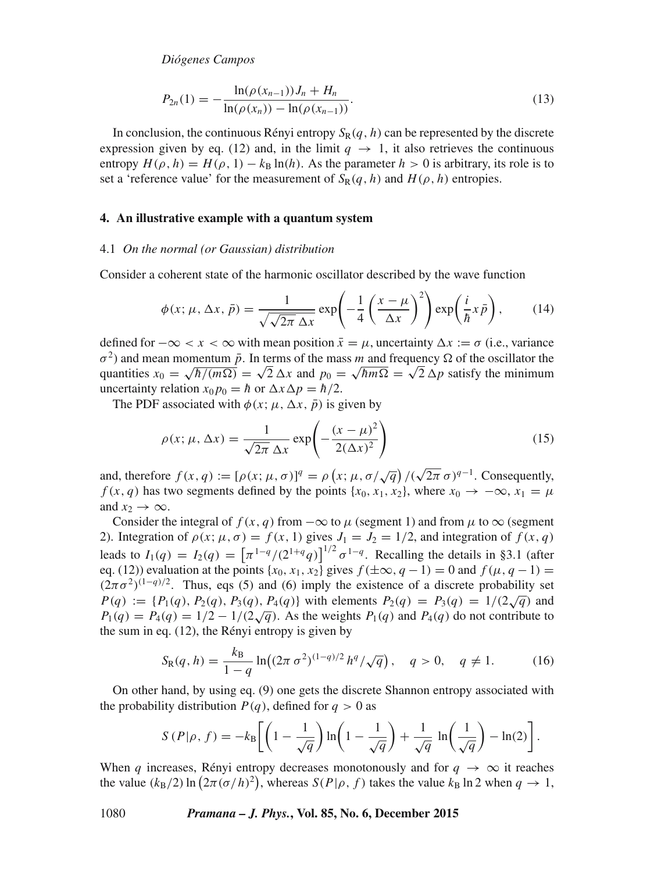*Diógenes Campos*

$$
P_{2n}(1) = -\frac{\ln(\rho(x_{n-1}))J_n + H_n}{\ln(\rho(x_n)) - \ln(\rho(x_{n-1}))}.
$$
\n(13)

In conclusion, the continuous Rényi entropy  $S_R(q, h)$  can be represented by the discrete expression given by eq. (12) and, in the limit  $q \to 1$ , it also retrieves the continuous entropy  $H(\rho, h) = H(\rho, 1) - k_B \ln(h)$ . As the parameter  $h > 0$  is arbitrary, its role is to set a 'reference value' for the measurement of  $S_R(q, h)$  and  $H(\rho, h)$  entropies.

#### **4. An illustrative example with a quantum system**

#### 4.1 *On the normal (or Gaussian) distribution*

Consider a coherent state of the harmonic oscillator described by the wave function

$$
\phi(x; \mu, \Delta x, \bar{p}) = \frac{1}{\sqrt{\sqrt{2\pi} \Delta x}} \exp\left(-\frac{1}{4} \left(\frac{x-\mu}{\Delta x}\right)^2\right) \exp\left(\frac{i}{\hbar} x \bar{p}\right),\tag{14}
$$

defined for  $-\infty < x < \infty$  with mean position  $\bar{x} = \mu$ , uncertainty  $\Delta x := \sigma$  (i.e., variance  $\sigma^2$ ) and mean momentum  $\bar{n}$ . In terms of the mass m and frequency Q of the oscillator the  $\sigma^2$ ) and mean momentum  $\bar{p}$ . In terms of the mass m and frequency  $\Omega$  of the oscillator the quantities  $x_0 = \sqrt{\hbar/(m\Omega)} = \sqrt{2} \Delta x$  and  $p_0 = \sqrt{\hbar m\Omega} = \sqrt{2} \Delta p$  satisfy the minimum uncertainty relation  $x_0p_0 = \hbar$  or  $\Delta x \Delta p = \hbar/2$ .

The PDF associated with  $\phi(x; \mu, \Delta x, \bar{p})$  is given by

$$
\rho(x; \mu, \Delta x) = \frac{1}{\sqrt{2\pi} \Delta x} \exp\left(-\frac{(x-\mu)^2}{2(\Delta x)^2}\right)
$$
(15)

and, therefore  $f(x, q) := [\rho(x; \mu, \sigma)]^q = \rho(x; \mu, \sigma/\sqrt{q})/(\sqrt{2\pi} \sigma)^{q-1}$ . Consequently,<br>  $f(x, q)$  has two segments defined by the points  $\{x_0, x_1, x_2\}$  where  $x_0 \to -\infty$ ,  $x_1 = \mu$ .  $\frac{q}{r} = \rho$  $f(x, q)$  has two segments defined by the points  $\{x_0, x_1, x_2\}$ , where  $x_0 \to -\infty$ ,  $x_1 = \mu$ and  $x_2 \rightarrow \infty$ .

Consider the integral of  $f(x, q)$  from  $-\infty$  to  $\mu$  (segment 1) and from  $\mu$  to  $\infty$  (segment 2). Integration of  $\rho(x; \mu, \sigma) = f(x, 1)$  gives  $J_1 = J_2 = 1/2$ , and integration of  $f(x, q)$ leads to  $I_1(q) = I_2(q) = [\pi^{1-q}/(2^{1+q}q)]^{1/2} \sigma^{1-q}$ . Recalling the details in §3.1 (after eq. (12)) evaluation at the points  $\{r_0, r_1, r_2\}$  gives  $f(+\infty, q-1) = 0$  and  $f(u, q-1) = 0$ . eq. (12)) evaluation at the points  $\{x_0, x_1, x_2\}$  gives  $f(\pm \infty, q-1) = 0$  and  $f(\mu, q-1) =$  $(2\pi\sigma^2)^{(1-q)/2}$ . Thus, eqs (5) and (6) imply the existence of a discrete probability set  $P(q) := \{P_1(q), P_2(q), P_3(q), P_4(q)\}\$  with elements  $P_2(q) = P_3(q) = 1/(2\sqrt{q})$  and  $P_4(q) = P_5(q) - 1/(2 - 1/(2\sqrt{q}))$ . As the weights  $P_5(q)$  and  $P_6(q)$  do not contribute to  $P_1(q) = P_4(q) = 1/2 - 1/(2\sqrt{q})$ . As the weights  $P_1(q)$  and  $P_4(q)$  do not contribute to the sum in eq. (12) the Répvi entropy is given by the sum in eq. (12), the Rényi entropy is given by

$$
S_{R}(q, h) = \frac{k_{B}}{1 - q} \ln((2\pi \sigma^{2})^{(1 - q)/2} h^{q} / \sqrt{q}), \quad q > 0, \quad q \neq 1.
$$
 (16)

On other hand, by using eq. (9) one gets the discrete Shannon entropy associated with the probability distribution  $P(q)$ , defined for  $q > 0$  as

$$
S(P|\rho, f) = -k_{\text{B}} \left[ \left( 1 - \frac{1}{\sqrt{q}} \right) \ln \left( 1 - \frac{1}{\sqrt{q}} \right) + \frac{1}{\sqrt{q}} \ln \left( \frac{1}{\sqrt{q}} \right) - \ln(2) \right].
$$

When q increases, Rényi entropy decreases monotonously and for  $q \to \infty$  it reaches<br>the value  $(k_2/2) \ln (2\pi (\alpha/h)^2)$  whereas  $S(P|\alpha, f)$  takes the value  $k_2 \ln 2$  when  $q \to 1$ the value  $(k_B/2) \ln (2\pi (\sigma/h)^2)$ , whereas  $S(P|\rho, f)$  takes the value  $k_B \ln 2$  when  $q \to 1$ ,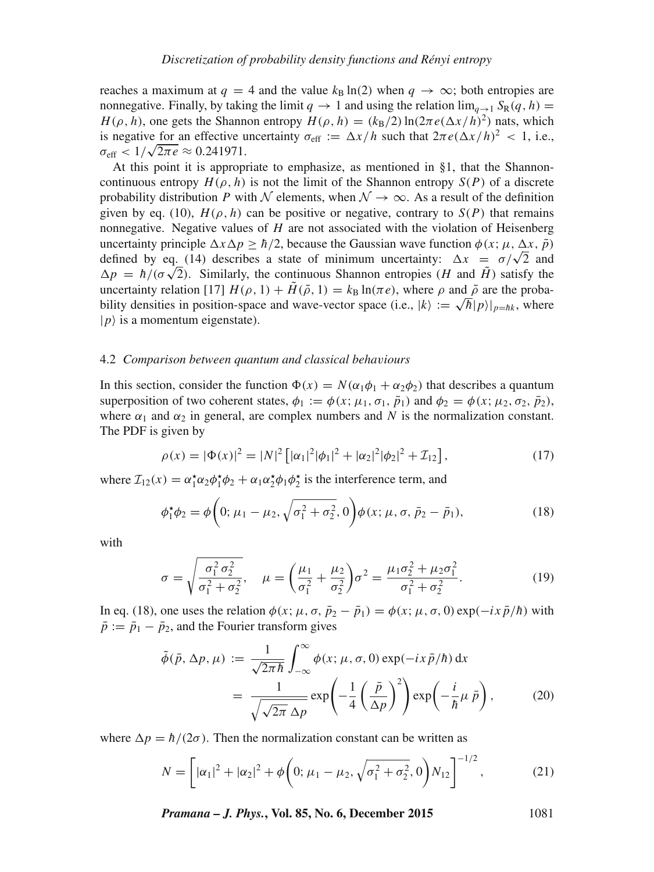reaches a maximum at  $q = 4$  and the value  $k_B \ln(2)$  when  $q \to \infty$ ; both entropies are nonnegative. Finally, by taking the limit  $q \to 1$  and using the relation  $\lim_{q \to 1} S_R(q, h) = H(\rho, h)$ , one gets the Shannon entropy  $H(\rho, h) = (k_B/2) \ln(2\pi e (\Delta x/h)^2)$  nats, which  $H(\rho, h)$ , one gets the Shannon entropy  $H(\rho, h) = (k_B/2) \ln(2\pi e (\Delta x/h)^2)$  nats, which<br>is negative for an effective uncertainty  $\sigma_{\text{eff}} := \Delta x/h$  such that  $2\pi e (\Delta x/h)^2 < 1$  i.e. is negative for an effective uncertainty  $\sigma_{\text{eff}} := \Delta x/h$  such that  $2\pi e (\Delta x/h)^2 < 1$ , i.e.,  $\sigma_{\text{eff}} \le 1/\sqrt{2\pi e} \approx 0.241971$  $\sigma_{\text{eff}} < 1/\sqrt{2\pi e} \approx 0.241971.$ <br>At this point it is appropriately

At this point it is appropriate to emphasize, as mentioned in §1, that the Shannoncontinuous entropy  $H(\rho, h)$  is not the limit of the Shannon entropy  $S(P)$  of a discrete probability distribution P with N elements, when  $\mathcal{N} \to \infty$ . As a result of the definition given by eq. (10),  $H(\rho, h)$  can be positive or negative, contrary to  $S(P)$  that remains nonnegative. Negative values of  $H$  are not associated with the violation of Heisenberg uncertainty principle  $\Delta x \Delta p \geq \hbar/2$ , because the Gaussian wave function  $\phi(x; \mu, \Delta x, \bar{p})$ defined by eq. (14) describes a state of minimum uncertainty:  $\Delta x = \sigma/\sqrt{2}$  and  $\Delta p = \hbar/(\sigma \sqrt{2})$ . Similarly, the continuous Shannon entropies (H and  $\tilde{H}$ ) satisfy the uncertainty relation [17]  $H(\rho, 1) + \tilde{H}(\tilde{\rho}, 1) = k_B \ln(\pi e)$ , where  $\rho$  and  $\tilde{\rho}$  are the probability densities in position-space and wave-vector space (i.e.,  $|k\rangle := \sqrt{\hbar} |p\rangle|_{p=hk}$ , where  $|p\rangle$  is a momentum eigenstate).

#### 4.2 *Comparison between quantum and classical beha*v*iours*

In this section, consider the function  $\Phi(x) = N(\alpha_1 \phi_1 + \alpha_2 \phi_2)$  that describes a quantum<br>superposition of two coherent states  $\phi_1 := \phi(x; \mu_1, \sigma_1, \bar{n}_1)$  and  $\phi_2 = \phi(x; \mu_2, \sigma_2, \bar{n}_2)$ superposition of two coherent states,  $\phi_1 := \phi(x; \mu_1, \sigma_1, \bar{p}_1)$  and  $\phi_2 = \phi(x; \mu_2, \sigma_2, \bar{p}_2)$ , where  $\alpha_1$  and  $\alpha_2$  in general, are complex numbers and N is the normalization constant. The PDF is given by

$$
\rho(x) = |\Phi(x)|^2 = |N|^2 \left[ |\alpha_1|^2 |\phi_1|^2 + |\alpha_2|^2 |\phi_2|^2 + \mathcal{I}_{12} \right],\tag{17}
$$

where  $\mathcal{I}_{12}(x) = \alpha_1^* \alpha_2 \phi_1^* \phi_2 + \alpha_1 \alpha_2^* \phi_1 \phi_2^*$  is the interference term, and

$$
\phi_1^* \phi_2 = \phi \bigg( 0; \mu_1 - \mu_2, \sqrt{\sigma_1^2 + \sigma_2^2}, 0 \bigg) \phi(x; \mu, \sigma, \bar{p}_2 - \bar{p}_1), \tag{18}
$$

with

$$
\sigma = \sqrt{\frac{\sigma_1^2 \sigma_2^2}{\sigma_1^2 + \sigma_2^2}}, \quad \mu = \left(\frac{\mu_1}{\sigma_1^2} + \frac{\mu_2}{\sigma_2^2}\right) \sigma^2 = \frac{\mu_1 \sigma_2^2 + \mu_2 \sigma_1^2}{\sigma_1^2 + \sigma_2^2}.
$$
 (19)

In eq. (18), one uses the relation  $\phi(x; \mu, \sigma, \bar{p}_2 - \bar{p}_1) = \phi(x; \mu, \sigma, 0) \exp(-ix \bar{p}/\hbar)$  with  $\bar{p} := \bar{p}_1 - \bar{p}_2$ , and the Fourier transform gives

$$
\tilde{\phi}(\bar{p}, \Delta p, \mu) := \frac{1}{\sqrt{2\pi\hbar}} \int_{-\infty}^{\infty} \phi(x; \mu, \sigma, 0) \exp(-ix\,\bar{p}/\hbar) \,dx
$$
\n
$$
= \frac{1}{\sqrt{\sqrt{2\pi} \Delta p}} \exp\left(-\frac{1}{4}\left(\frac{\bar{p}}{\Delta p}\right)^2\right) \exp\left(-\frac{i}{\hbar}\mu\,\bar{p}\right),\tag{20}
$$

where  $\Delta p = \hbar/(2\sigma)$ . Then the normalization constant can be written as

$$
N = \left[ |\alpha_1|^2 + |\alpha_2|^2 + \phi \left( 0; \mu_1 - \mu_2, \sqrt{\sigma_1^2 + \sigma_2^2}, 0 \right) N_{12} \right]^{-1/2}, \tag{21}
$$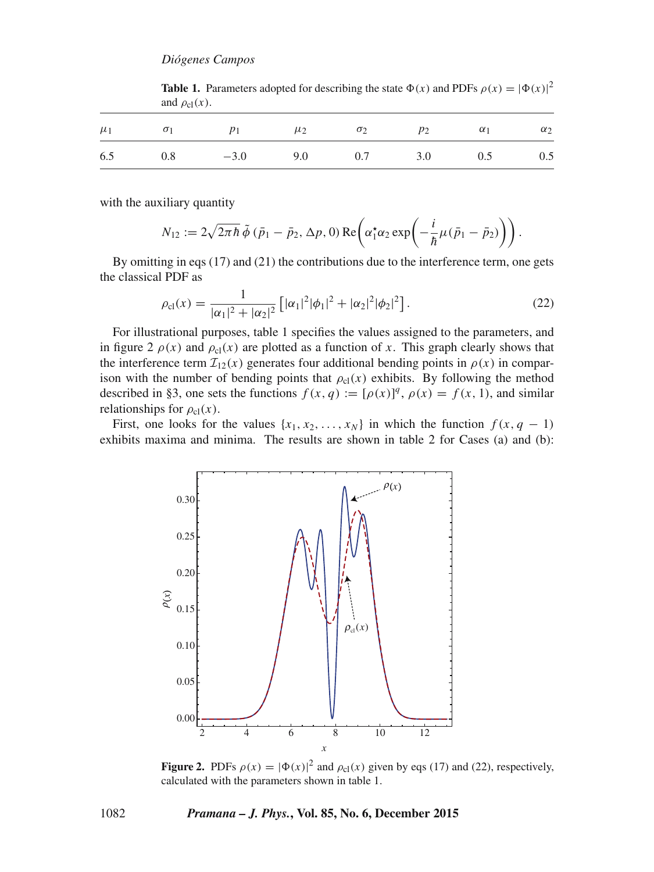| <b>Table 1.</b> Parameters adopted for describing the state $\Phi(x)$ and PDFs $\rho(x) =  \Phi(x) ^2$ |
|--------------------------------------------------------------------------------------------------------|
| and $\rho_{c1}(x)$ .                                                                                   |
|                                                                                                        |

|  | $\mu_1$ $\sigma_1$ $p_1$ $\mu_2$ $\sigma_2$ $p_2$ $\alpha_1$ $\alpha_2$ |  |  |  |
|--|-------------------------------------------------------------------------|--|--|--|
|  | 6.5 0.8 $-3.0$ 9.0 0.7 3.0 0.5 0.5                                      |  |  |  |

with the auxiliary quantity

$$
N_{12} := 2\sqrt{2\pi\hbar} \tilde{\phi} (\bar{p}_1 - \bar{p}_2, \Delta p, 0) \operatorname{Re} \left( \alpha_1^{\star} \alpha_2 \exp \left( -\frac{i}{\hbar} \mu (\bar{p}_1 - \bar{p}_2) \right) \right).
$$

By omitting in eqs (17) and (21) the contributions due to the interference term, one gets the classical PDF as

$$
\rho_{\text{cl}}(x) = \frac{1}{|\alpha_1|^2 + |\alpha_2|^2} \left[ |\alpha_1|^2 |\phi_1|^2 + |\alpha_2|^2 |\phi_2|^2 \right].
$$
\nFor illustrational purposes, table 1 specifies the values assigned to the parameters, and

in figure 2  $\rho(x)$  and  $\rho_{c}(x)$  are plotted as a function of x. This graph clearly shows that the interference term  $\mathcal{I}_{12}(x)$  generates four additional bending points in  $\rho(x)$  in comparison with the number of bending points that  $\rho_{cl}(x)$  exhibits. By following the method described in §3, one sets the functions  $f(x, q) := [\rho(x)]^q$ ,  $\rho(x) = f(x, 1)$ , and similar relationships for  $\rho(x)$ relationships for  $\rho_{cl}(x)$ .

First, one looks for the values  $\{x_1, x_2, \ldots, x_N\}$  in which the function  $f(x, q - 1)$ exhibits maxima and minima. The results are shown in table 2 for Cases (a) and (b):



**Figure 2.** PDFs  $\rho(x) = |\Phi(x)|^2$  and  $\rho_{cl}(x)$  given by eqs (17) and (22), respectively, calculated with the parameters shown in table 1 **Figure 2.** PDFs  $\rho(x) = |\Psi(x)|^2$  and  $\rho_{c1}(x)$  given calculated with the parameters shown in table 1.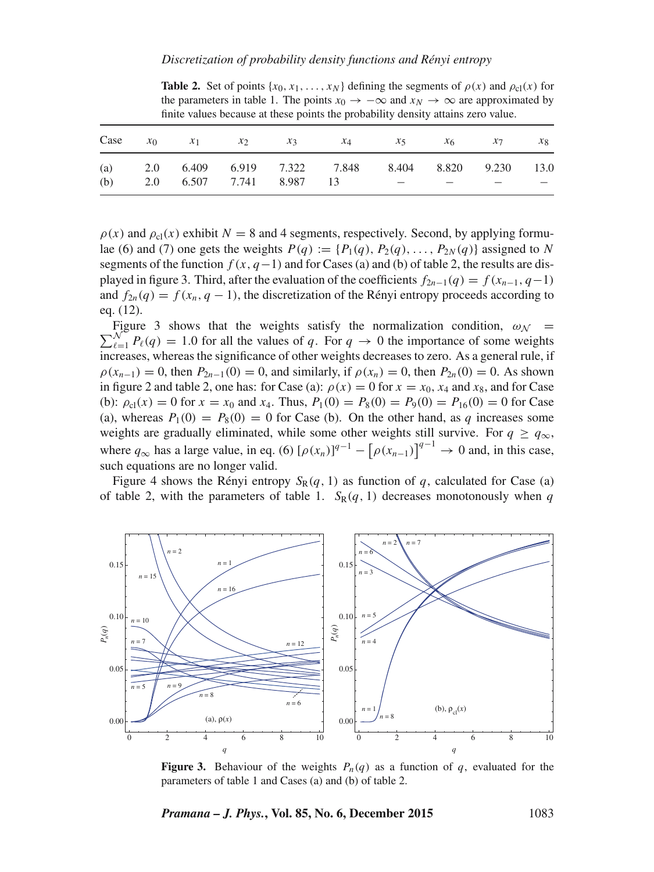| the parameters in table 1. The points $x_0 \to -\infty$ and $x_N \to \infty$ are approximated by<br>finite values because at these points the probability density attains zero value. |       |       |               |       |       |         |                |       |         |  |  |
|---------------------------------------------------------------------------------------------------------------------------------------------------------------------------------------|-------|-------|---------------|-------|-------|---------|----------------|-------|---------|--|--|
| Case                                                                                                                                                                                  | $x_0$ | $x_1$ | $\mathcal{X}$ | $x_3$ | $x_4$ | $x_{5}$ | x <sub>6</sub> | $x_7$ | $x_{8}$ |  |  |
| (a)                                                                                                                                                                                   | 2.0   | 6.409 | 6.919         | 7.322 | 7.848 | 8.404   | 8.820          | 9.230 | 13.0    |  |  |
| (b)                                                                                                                                                                                   | 2.0   | 6.507 | 7.741         | 8.987 | 13    |         |                |       |         |  |  |

**Table 2.** Set of points  $\{x_0, x_1, \ldots, x_N\}$  defining the segments of  $\rho(x)$  and  $\rho_c(x)$  for the parameters in table 1. The points  $x_0 \to -\infty$  and  $x_N \to \infty$  are approximated by finite values because at these points the probability density attains zero value

 $\rho(x)$  and  $\rho_{\rm cl}(x)$  exhibit  $N = 8$  and 4 segments, respectively. Second, by applying formulae (6) and (7) one gets the weights  $P(q) := \{P_1(q), P_2(q), \ldots, P_{2N}(q)\}\$  assigned to N segments of the function  $f(x, q-1)$  and for Cases (a) and (b) of table 2, the results are displayed in figure 3. Third, after the evaluation of the coefficients  $f_{2n-1}(q) = f(x_{n-1}, q-1)$ and  $f_{2n}(q) = f(x_n, q - 1)$ , the discretization of the Rényi entropy proceeds according to eq. (12).

Figure 3 shows that the weights satisfy the normalization condition,  $\omega_N = \sum_{\ell=1}^{N} P_{\ell}(q) = 1.0$  for all the values of q. For  $q \to 0$  the importance of some weights  $\sum_{\ell=1}^{N} P_{\ell}(q) = 1.0$  for all the values of q. For  $q \to 0$  the importance of some weights reases whereas the significance of other weights decreases to zero. As a general rule, if increases, whereas the significance of other weights decreases to zero. As a general rule, if  $\rho(x_{n-1}) = 0$ , then  $P_{2n-1}(0) = 0$ , and similarly, if  $\rho(x_n) = 0$ , then  $P_{2n}(0) = 0$ . As shown in figure 2 and table 2, one has: for Case (a):  $\rho(x) = 0$  for  $x = x_0$ ,  $x_4$  and  $x_8$ , and for Case (b):  $\rho_{c}(x) = 0$  for  $x = x_0$  and  $x_4$ . Thus,  $P_1(0) = P_8(0) = P_9(0) = P_{16}(0) = 0$  for Case (a), whereas  $P_1(0) = P_8(0) = 0$  for Case (b). On the other hand, as q increases some weights are gradually eliminated, while some other weights still survive. For  $q \geq q_{\infty}$ , where  $q_{\infty}$  has a large value, in eq. (6)  $[\rho(x_n)]^{q-1} - [\rho(x_{n-1})]^{q-1} \to 0$  and, in this case, such equations are no longer valid such equations are no longer valid.

Figure 4 shows the Rényi entropy  $S_R(q, 1)$  as function of q, calculated for Case (a) of table 2, with the parameters of table 1.  $S_R(q, 1)$  decreases monotonously when q



**Figure 3.** Behaviour of the weights  $P_n(q)$  as a function of q, evaluated for the parameters of table 1 and Cases (a) and (b) of table 2.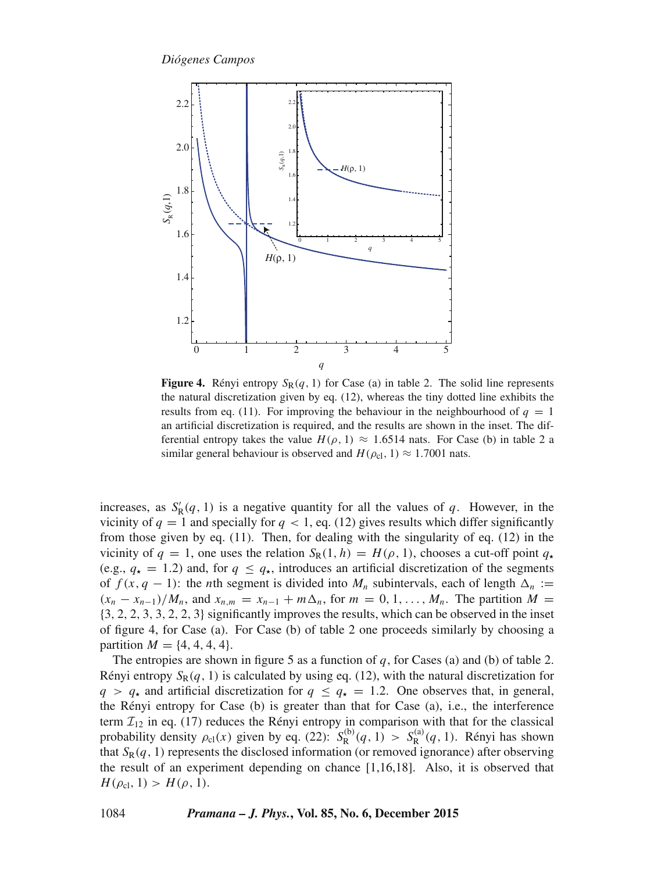

**Figure 4.** Rényi entropy  $S_R(q, 1)$  for Case (a) in table 2. The solid line represents the natural discretization given by eq. (12), whereas the tiny dotted line exhibits the results from eq. (11). For improving the behaviour in the neighbourhood of  $q = 1$ an artificial discretization is required, and the results are shown in the inset. The differential entropy takes the value  $H(\rho, 1) \approx 1.6514$  nats. For Case (b) in table 2 a similar general behaviour is observed and  $H(\rho_{\rm cl}, 1) \approx 1.7001$  nats.

increases, as  $S_R'(q, 1)$  is a negative quantity for all the values of q. However, in the values of q. – 1 and specially for  $q \ge 1$  eq. (12) gives results which differ significantly vicinity of  $q = 1$  and specially for  $q < 1$ , eq. (12) gives results which differ significantly from those given by eq. (11). Then, for dealing with the singularity of eq. (12) in the vicinity of  $q = 1$ , one uses the relation  $S_R(1, h) = H(\rho, 1)$ , chooses a cut-off point  $q_*$ (e.g.,  $q_{\star} = 1.2$ ) and, for  $q \leq q_{\star}$ , introduces an artificial discretization of the segments of  $f(x, q - 1)$ : the *n*th segment is divided into  $M_n$  subintervals, each of length  $\Delta_n :=$  $(x_n - x_{n-1})/M_n$ , and  $x_{n,m} = x_{n-1} + m\Delta_n$ , for  $m = 0, 1, \ldots, M_n$ . The partition  $M =$ {3, <sup>2</sup>, <sup>2</sup>, <sup>3</sup>, <sup>3</sup>, <sup>2</sup>, <sup>2</sup>, <sup>3</sup>} significantly improves the results, which can be observed in the inset of figure 4, for Case (a). For Case (b) of table 2 one proceeds similarly by choosing a partition  $M = \{4, 4, 4, 4\}.$ 

The entropies are shown in figure 5 as a function of q, for Cases (a) and (b) of table 2. Rényi entropy  $S_R(q, 1)$  is calculated by using eq. (12), with the natural discretization for  $q > q_{\star}$  and artificial discretization for  $q \leq q_{\star} = 1.2$ . One observes that, in general, the Rényi entropy for Case (b) is greater than that for Case (a), i.e., the interference term  $\mathcal{I}_{12}$  in eq. (17) reduces the Rényi entropy in comparison with that for the classical probability density  $\rho_{cl}(x)$  given by eq. (22):  $S_R^{(b)}(q, 1) > S_R^{(a)}(q, 1)$ . Rényi has shown<br>that  $S_R(q, 1)$  represents the disclosed information (or removed ignorance) after observing that  $S_R(q, 1)$  represents the disclosed information (or removed ignorance) after observing the result of an experiment depending on chance [1,16,18]. Also, it is observed that  $H(\rho_{c1}, 1) > H(\rho, 1).$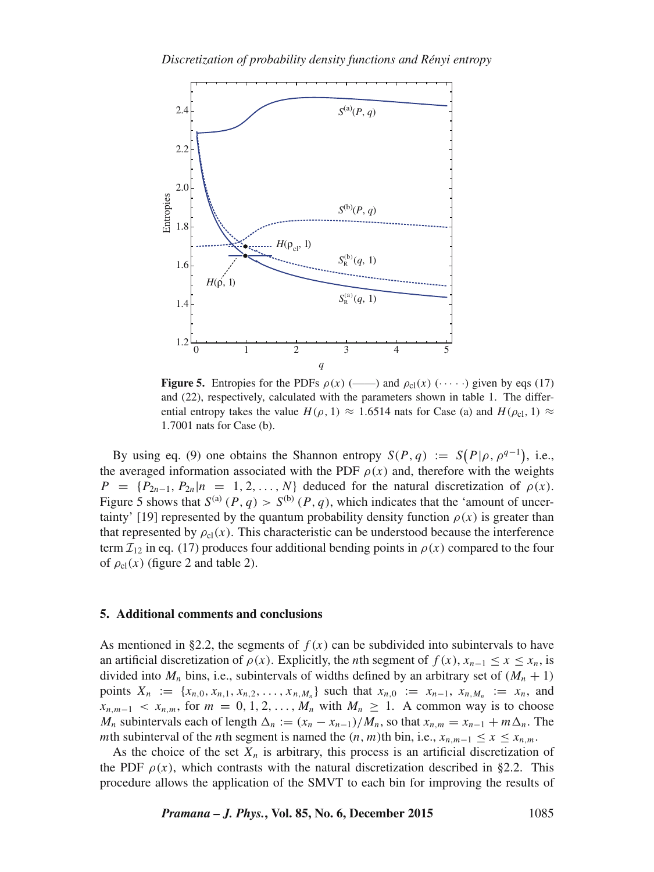

**Figure 5.** Entropies for the PDFs  $\rho(x)$  (-----) and  $\rho_{\text{cl}}(x)$  ( $\cdots$ ) given by eqs (17) and (22), respectively, calculated with the parameters shown in table 1. The differential entropy takes the value  $H(\rho, 1) \approx 1.6514$  nats for Case (a) and  $H(\rho_{c1}, 1) \approx$ <sup>1</sup>.7001 nats for Case (b).

By using eq. (9) one obtains the Shannon entropy  $S(P, q) := S(P|\rho, \rho^{q-1})$ , i.e.,<br>proposed information associated with the PDF  $\rho(r)$  and therefore with the weights the averaged information associated with the PDF  $\rho(x)$  and, therefore with the weights  $P = {P_{2n-1}, P_{2n}|n = 1, 2, ..., N}$  deduced for the natural discretization of  $\rho(x)$ . Figure 5 shows that  $S^{(a)}(P,q) > S^{(b)}(P,q)$ , which indicates that the 'amount of uncertainty' [19] represented by the quantum probability density function  $\rho(x)$  is greater than that represented by  $\rho_{cl}(x)$ . This characteristic can be understood because the interference term  $\mathcal{I}_{12}$  in eq. (17) produces four additional bending points in  $\rho(x)$  compared to the four of  $\rho_{\text{cl}}(x)$  (figure 2 and table 2).

## **5. Additional comments and conclusions**

As mentioned in §2.2, the segments of  $f(x)$  can be subdivided into subintervals to have an artificial discretization of  $\rho(x)$ . Explicitly, the *n*th segment of  $f(x)$ ,  $x_{n-1} \le x \le x_n$ , is divided into  $M_n$  bins, i.e., subintervals of widths defined by an arbitrary set of  $(M_n + 1)$ points  $X_n := \{x_{n,0}, x_{n,1}, x_{n,2}, \ldots, x_{n,M_n}\}$  such that  $x_{n,0} := x_{n-1}, x_{n,M_n} := x_n$ , and  $x_{n,m-1}$  <  $x_{n,m}$ , for  $m = 0, 1, 2, \ldots, M_n$  with  $M_n \geq 1$ . A common way is to choose  $M_n$  subintervals each of length  $\Delta_n := (x_n - x_{n-1})/M_n$ , so that  $x_{n,m} = x_{n-1} + m\Delta_n$ . The mth subinterval of the *n*th segment is named the  $(n, m)$ th bin, i.e.,  $x_{n,m-1} \le x \le x_{n,m}$ .

As the choice of the set  $X_n$  is arbitrary, this process is an artificial discretization of the PDF  $\rho(x)$ , which contrasts with the natural discretization described in §2.2. This procedure allows the application of the SMVT to each bin for improving the results of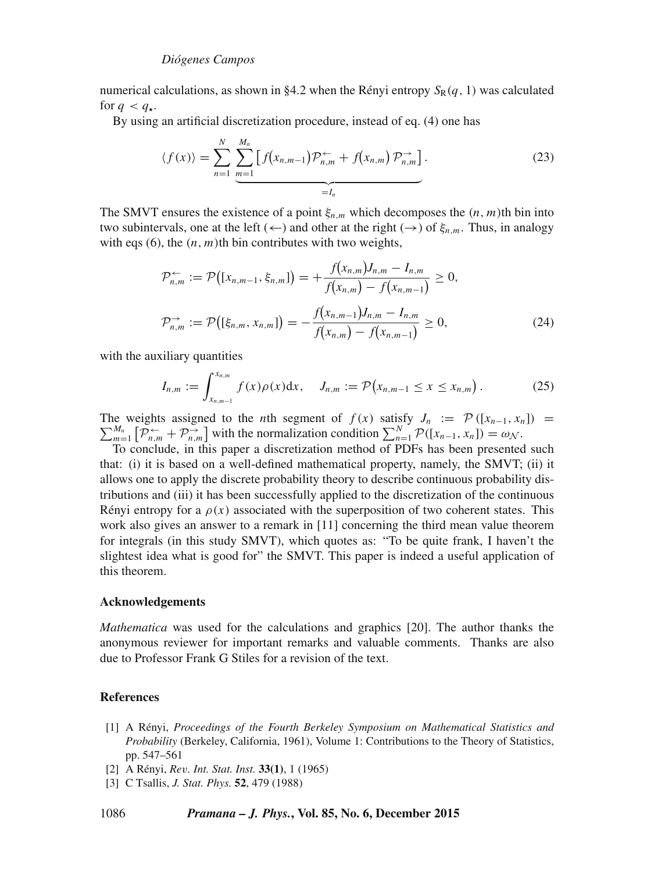numerical calculations, as shown in §4.2 when the Rényi entropy  $S_R(q, 1)$  was calculated for  $q < q_{\star}$ .

By using an artificial discretization procedure, instead of eq. (4) one has

$$
\langle f(x) \rangle = \sum_{n=1}^{N} \underbrace{\sum_{m=1}^{M_n} \left[ f(x_{n,m-1}) \mathcal{P}_{n,m}^{\leftarrow} + f(x_{n,m}) \mathcal{P}_{n,m}^{\rightarrow} \right]}_{=I_n}.
$$
 (23)

The SMVT ensures the existence of a point  $\xi_{n,m}$  which decomposes the  $(n, m)$ th bin into two subintervals, one at the left ( $\leftarrow$ ) and other at the right ( $\rightarrow$ ) of  $\xi_{n,m}$ . Thus, in analogy with eqs  $(6)$ , the  $(n, m)$ th bin contributes with two weights,

$$
\mathcal{P}_{n,m}^{\leftarrow} := \mathcal{P}\big([x_{n,m-1}, \xi_{n,m}]\big) = +\frac{f(x_{n,m})J_{n,m} - I_{n,m}}{f(x_{n,m}) - f(x_{n,m-1})} \ge 0,
$$
\n
$$
\mathcal{P}_{n,m}^{\rightarrow} := \mathcal{P}\big([\xi_{n,m}, x_{n,m}]\big) = -\frac{f(x_{n,m-1})J_{n,m} - I_{n,m}}{f(x_{n,m}) - f(x_{n,m-1})} \ge 0,
$$
\n(24)

with the auxiliary quantities

$$
I_{n,m} := \int_{x_{n,m-1}}^{x_{n,m}} f(x) \rho(x) dx, \quad J_{n,m} := \mathcal{P}\big(x_{n,m-1} \le x \le x_{n,m}\big).
$$
 (25)

The weights assigned to the *n*th segment of  $f(x)$  satisfy  $J_n := \mathcal{P}([x_{n-1}, x_n]) = \sum_{m=1}^{M_n} \mathcal{P}([x_{n-1}, x_n]) = \omega_N$ .<br>  $\sum_{m=1}^N \mathcal{P}([x_{n-1}, x_n]) = \omega_N$ .<br>
To conclude in this paper a discretization method of PDFs has been prese

 $\sum_{n=1}^{m=1}$   $\binom{n}{m}$   $\binom{n}{m}$  with the normalization condition  $\sum_{n=1}^{n} \binom{n}{m-1}$ ,  $\lambda_n$   $\binom{n}{m}$   $\cdots$   $\infty$ . that: (i) it is based on a well-defined mathematical property, namely, the SMVT; (ii) it allows one to apply the discrete probability theory to describe continuous probability distributions and (iii) it has been successfully applied to the discretization of the continuous Rényi entropy for a  $\rho(x)$  associated with the superposition of two coherent states. This work also gives an answer to a remark in [11] concerning the third mean value theorem for integrals (in this study SMVT), which quotes as: "To be quite frank, I haven't the slightest idea what is good for" the SMVT. This paper is indeed a useful application of this theorem.

## **Acknowledgements**

*Mathematica* was used for the calculations and graphics [20]. The author thanks the anonymous reviewer for important remarks and valuable comments. Thanks are also due to Professor Frank G Stiles for a revision of the text.

## **References**

- [1] A Rényi, *Proceedings of the Fourth Berkeley Symposium on Mathematical Statistics and Probability* (Berkeley, California, 1961), Volume 1: Contributions to the Theory of Statistics, pp. 547–561
- [2] A Rényi, *Re*v*. Int. Stat. Inst.* **33(1)**, 1 (1965)
- [3] C Tsallis, *J. Stat. Phys.* **52**, 479 (1988)